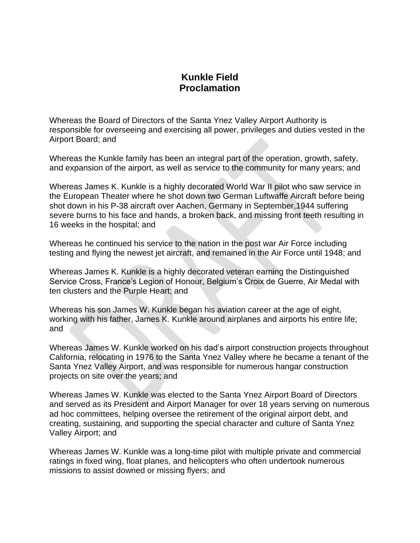## **Kunkle Field Proclamation**

Whereas the Board of Directors of the Santa Ynez Valley Airport Authority is responsible for overseeing and exercising all power, privileges and duties vested in the Airport Board; and

Whereas the Kunkle family has been an integral part of the operation, growth, safety, and expansion of the airport, as well as service to the community for many years; and

Whereas James K. Kunkle is a highly decorated World War II pilot who saw service in the European Theater where he shot down two German Luftwaffe Aircraft before being shot down in his P-38 aircraft over Aachen, Germany in September,1944 suffering severe burns to his face and hands, a broken back, and missing front teeth resulting in 16 weeks in the hospital; and

Whereas he continued his service to the nation in the post war Air Force including testing and flying the newest jet aircraft, and remained in the Air Force until 1948; and

Whereas James K. Kunkle is a highly decorated veteran earning the Distinguished Service Cross, France's Legion of Honour, Belgium's Croix de Guerre, Air Medal with ten clusters and the Purple Heart; and

Whereas his son James W. Kunkle began his aviation career at the age of eight, working with his father, James K. Kunkle around airplanes and airports his entire life; and

Whereas James W. Kunkle worked on his dad's airport construction projects throughout California, relocating in 1976 to the Santa Ynez Valley where he became a tenant of the Santa Ynez Valley Airport, and was responsible for numerous hangar construction projects on site over the years; and

Whereas James W. Kunkle was elected to the Santa Ynez Airport Board of Directors and served as its President and Airport Manager for over 18 years serving on numerous ad hoc committees, helping oversee the retirement of the original airport debt, and creating, sustaining, and supporting the special character and culture of Santa Ynez Valley Airport; and

Whereas James W. Kunkle was a long-time pilot with multiple private and commercial ratings in fixed wing, float planes, and helicopters who often undertook numerous missions to assist downed or missing flyers; and